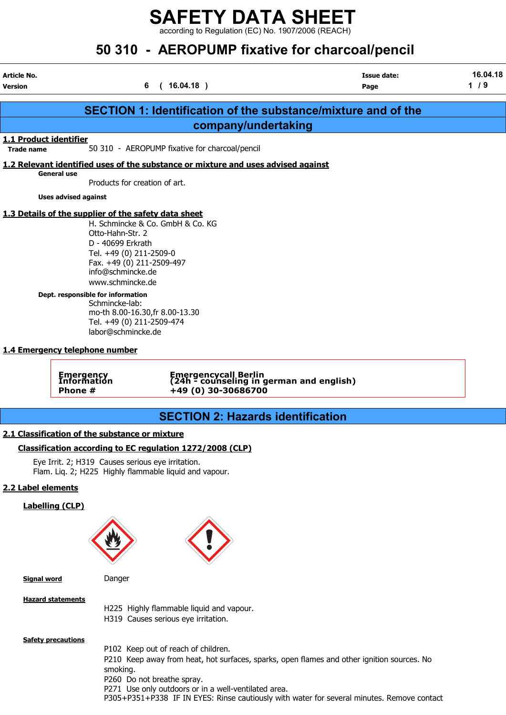according to Regulation (EC) No. 1907/2006 (REACH)

# 50 310 - AEROPUMP fixative for charcoal/pencil

| Article No.<br><b>Version</b>                  | 6(16.04.18)                                                                                                                                                                                                                                                                                                                                | <b>Issue date:</b><br>Page | 16.04.18<br>$1/9$ |
|------------------------------------------------|--------------------------------------------------------------------------------------------------------------------------------------------------------------------------------------------------------------------------------------------------------------------------------------------------------------------------------------------|----------------------------|-------------------|
|                                                | <b>SECTION 1: Identification of the substance/mixture and of the</b>                                                                                                                                                                                                                                                                       |                            |                   |
|                                                | company/undertaking                                                                                                                                                                                                                                                                                                                        |                            |                   |
| 1.1 Product identifier<br><b>Trade name</b>    | 50 310 - AEROPUMP fixative for charcoal/pencil                                                                                                                                                                                                                                                                                             |                            |                   |
|                                                | 1.2 Relevant identified uses of the substance or mixture and uses advised against                                                                                                                                                                                                                                                          |                            |                   |
| General use                                    | Products for creation of art.                                                                                                                                                                                                                                                                                                              |                            |                   |
| <b>Uses advised against</b>                    |                                                                                                                                                                                                                                                                                                                                            |                            |                   |
| Dept. responsible for information              | 1.3 Details of the supplier of the safety data sheet<br>H. Schmincke & Co. GmbH & Co. KG<br>Otto-Hahn-Str. 2<br>D - 40699 Erkrath<br>Tel. +49 (0) 211-2509-0<br>Fax. +49 (0) 211-2509-497<br>info@schmincke.de<br>www.schmincke.de<br>Schmincke-lab:<br>mo-th 8.00-16.30, fr 8.00-13.30<br>Tel. +49 (0) 211-2509-474<br>labor@schmincke.de |                            |                   |
| 1.4 Emergency telephone number                 |                                                                                                                                                                                                                                                                                                                                            |                            |                   |
| <b>Emergency</b><br>Information<br>Phone #     | Emergencycall Berlin<br>(24h - counseling in german and english)<br>+49 (0) 30-30686700                                                                                                                                                                                                                                                    |                            |                   |
|                                                | <b>SECTION 2: Hazards identification</b>                                                                                                                                                                                                                                                                                                   |                            |                   |
| 2.1 Classification of the substance or mixture |                                                                                                                                                                                                                                                                                                                                            |                            |                   |
|                                                | Classification according to EC regulation 1272/2008 (CLP)                                                                                                                                                                                                                                                                                  |                            |                   |
|                                                | Eye Irrit. 2; H319 Causes serious eye irritation.<br>Flam. Liq. 2; H225 Highly flammable liquid and vapour.                                                                                                                                                                                                                                |                            |                   |
| 2.2 Label elements                             |                                                                                                                                                                                                                                                                                                                                            |                            |                   |
| <b>Labelling (CLP)</b>                         |                                                                                                                                                                                                                                                                                                                                            |                            |                   |
|                                                |                                                                                                                                                                                                                                                                                                                                            |                            |                   |
| <b>Signal word</b>                             | Danger                                                                                                                                                                                                                                                                                                                                     |                            |                   |
| <b>Hazard statements</b>                       | H225 Highly flammable liquid and vapour.<br>H319 Causes serious eye irritation.                                                                                                                                                                                                                                                            |                            |                   |
| <b>Safety precautions</b>                      | P102 Keep out of reach of children.<br>P210 Keep away from heat, hot surfaces, sparks, open flames and other ignition sources. No<br>smoking.<br>P260 Do not breathe spray.<br>P271 Use only outdoors or in a well-ventilated area.<br>P305+P351+P338 IF IN EYES: Rinse cautiously with water for several minutes. Remove contact          |                            |                   |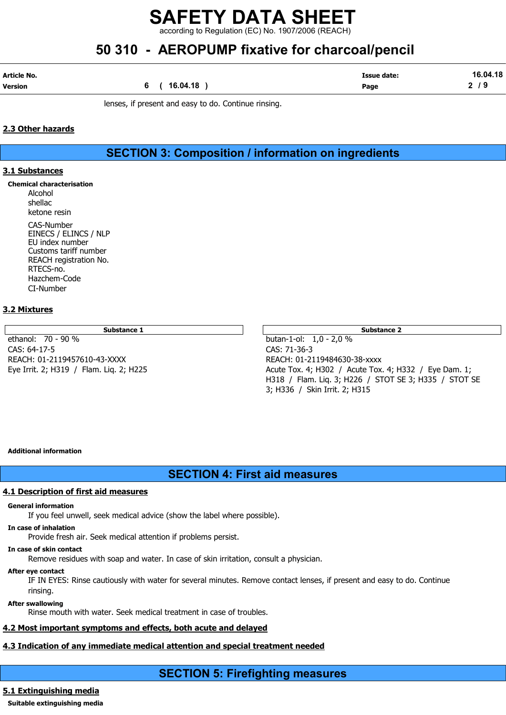according to Regulation (EC) No. 1907/2006 (REACH)

## 50 310 - AEROPUMP fixative for charcoal/pencil

| Article No. |              | <b>Issue date:</b> | 16.04.18 |
|-------------|--------------|--------------------|----------|
| Version     | 6 ( 16.04.18 | Page               | 2/9      |

lenses, if present and easy to do. Continue rinsing.

### 2.3 Other hazards

### SECTION 3: Composition / information on ingredients

### 3.1 Substances

#### Chemical characterisation

Alcohol shellac ketone resin CAS-Number EINECS / ELINCS / NLP EU index number Customs tariff number REACH registration No. RTECS-no. Hazchem-Code CI-Number

### 3.2 Mixtures

CAS: 64-17-5 CAS: 71-36-3 REACH: 01-2119457610-43-XXXX REACH: 01-2119484630-38-xxxx

Substance 1 and 2 Substance 2 and 3 Substance 2 and 3 Substance 2 and 3 Substance 2 and 3 Substance 2 ethanol: 70 - 90 % butan-1-ol: 1,0 - 2,0 % Eye Irrit. 2; H319 / Flam. Liq. 2; H225 Acute Tox. 4; H302 / Acute Tox. 4; H332 / Eye Dam. 1; H318 / Flam. Liq. 3; H226 / STOT SE 3; H335 / STOT SE 3; H336 / Skin Irrit. 2; H315

#### Additional information

### SECTION 4: First aid measures

### 4.1 Description of first aid measures

#### General information

If you feel unwell, seek medical advice (show the label where possible).

### In case of inhalation

Provide fresh air. Seek medical attention if problems persist.

#### In case of skin contact

Remove residues with soap and water. In case of skin irritation, consult a physician.

#### After eye contact

IF IN EYES: Rinse cautiously with water for several minutes. Remove contact lenses, if present and easy to do. Continue rinsing.

#### After swallowing

Rinse mouth with water. Seek medical treatment in case of troubles.

### 4.2 Most important symptoms and effects, both acute and delayed

### 4.3 Indication of any immediate medical attention and special treatment needed

### SECTION 5: Firefighting measures

### 5.1 Extinguishing media

### Suitable extinguishing media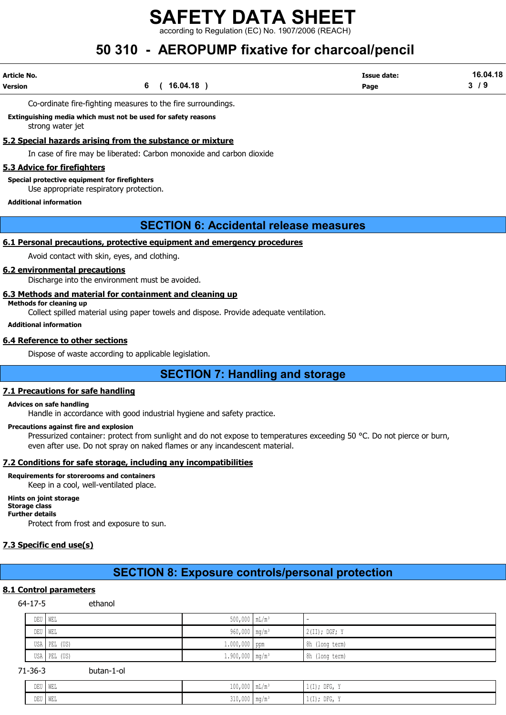according to Regulation (EC) No. 1907/2006 (REACH)

## 50 310 - AEROPUMP fixative for charcoal/pencil

| Article No. |                | <b>Issue date:</b> | 16.04.18 |
|-------------|----------------|--------------------|----------|
| Version     | 6 ( 16.04.18 ) | Page               | 79       |

Co-ordinate fire-fighting measures to the fire surroundings.

Extinguishing media which must not be used for safety reasons strong water jet

5.2 Special hazards arising from the substance or mixture

In case of fire may be liberated: Carbon monoxide and carbon dioxide

### 5.3 Advice for firefighters

Special protective equipment for firefighters

Use appropriate respiratory protection.

Additional information

### SECTION 6: Accidental release measures

### 6.1 Personal precautions, protective equipment and emergency procedures

Avoid contact with skin, eyes, and clothing.

### 6.2 environmental precautions

Discharge into the environment must be avoided.

### 6.3 Methods and material for containment and cleaning up

Methods for cleaning up

Collect spilled material using paper towels and dispose. Provide adequate ventilation.

Additional information

### 6.4 Reference to other sections

Dispose of waste according to applicable legislation.

### SECTION 7: Handling and storage

### 7.1 Precautions for safe handling

#### Advices on safe handling

Handle in accordance with good industrial hygiene and safety practice.

### Precautions against fire and explosion

Pressurized container: protect from sunlight and do not expose to temperatures exceeding 50 °C. Do not pierce or burn, even after use. Do not spray on naked flames or any incandescent material.

### 7.2 Conditions for safe storage, including any incompatibilities

Requirements for storerooms and containers

Keep in a cool, well-ventilated place.

### Hints on joint storage

Storage class Further details

Protect from frost and exposure to sun.

### 7.3 Specific end use(s)

### SECTION 8: Exposure controls/personal protection

### 8.1 Control parameters

64-17-5 ethanol

|                       |  | DEU   WEL    | $500,000$ mL/m <sup>3</sup> |  |                 |  |
|-----------------------|--|--------------|-----------------------------|--|-----------------|--|
|                       |  | DEU WEL      | $960,000$ mg/m <sup>3</sup> |  | $2(II);$ DGF; Y |  |
|                       |  | USA PEL (US) | $1.000,000$ ppm             |  | 8h (long term)  |  |
|                       |  | USA PEL (US) | $1.900,000 \text{ mg/m}^3$  |  | 8h (long term)  |  |
| butan-1-ol<br>71-36-3 |  |              |                             |  |                 |  |
|                       |  | DEU WEL      | $100,000$ $mL/m^3$          |  | $1(I);$ DFG, Y  |  |

DEU WEL  $310,000 \text{ mg/m}$ <sup>3</sup> 1(I); DFG, Y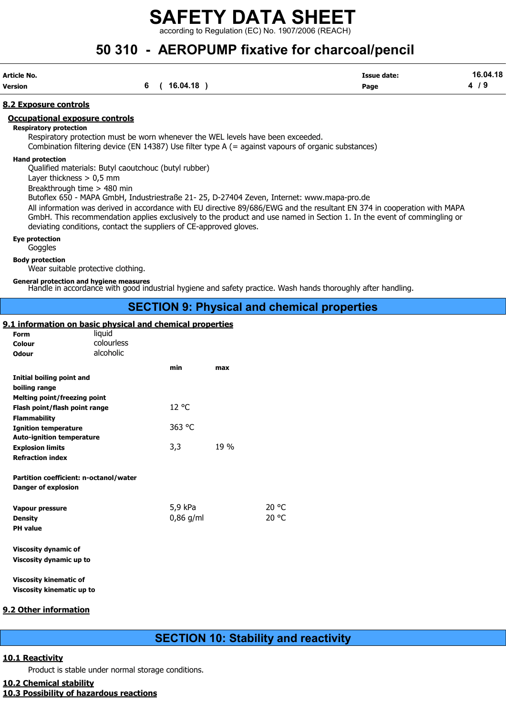according to Regulation (EC) No. 1907/2006 (REACH)

# 50 310 - AEROPUMP fixative for charcoal/pencil

| Article No. |              | <b>Issue date:</b> | 16.04.18 |
|-------------|--------------|--------------------|----------|
| Version     | 6 ( 16.04.18 | Page               | 79       |

#### 8.2 Exposure controls

### Occupational exposure controls

Respiratory protection

Respiratory protection must be worn whenever the WEL levels have been exceeded.

Combination filtering device (EN 14387) Use filter type A (= against vapours of organic substances)

#### Hand protection

Qualified materials: Butyl caoutchouc (butyl rubber)

Layer thickness  $> 0.5$  mm

Breakthrough time > 480 min

Butoflex 650 - MAPA GmbH, Industriestraße 21- 25, D-27404 Zeven, Internet: www.mapa-pro.de

All information was derived in accordance with EU directive 89/686/EWG and the resultant EN 374 in cooperation with MAPA GmbH. This recommendation applies exclusively to the product and use named in Section 1. In the event of commingling or deviating conditions, contact the suppliers of CE-approved gloves.

### Eye protection

**Goggles** 

#### Body protection

Wear suitable protective clothing.

General protection and hygiene measures

Handle in accordance with good industrial hygiene and safety practice. Wash hands thoroughly after handling.

### SECTION 9: Physical and chemical properties

### 9.1 information on basic physical and chemical properties

| Form                                   | liquid     |           |      |       |
|----------------------------------------|------------|-----------|------|-------|
| Colour                                 | colourless |           |      |       |
| <b>Odour</b>                           | alcoholic  |           |      |       |
|                                        |            | min.      | max  |       |
| Initial boiling point and              |            |           |      |       |
| boiling range                          |            |           |      |       |
| <b>Melting point/freezing point</b>    |            |           |      |       |
| Flash point/flash point range          |            | 12 °C     |      |       |
| <b>Flammability</b>                    |            |           |      |       |
| <b>Ignition temperature</b>            |            | 363 °C    |      |       |
| <b>Auto-ignition temperature</b>       |            |           |      |       |
| <b>Explosion limits</b>                |            | 3,3       | 19 % |       |
| <b>Refraction index</b>                |            |           |      |       |
|                                        |            |           |      |       |
| Partition coefficient: n-octanol/water |            |           |      |       |
| <b>Danger of explosion</b>             |            |           |      |       |
|                                        |            |           |      |       |
| <b>Vapour pressure</b>                 |            | 5,9 kPa   |      | 20 °C |
| <b>Density</b>                         |            | 0,86 g/ml |      | 20 °C |
| <b>PH</b> value                        |            |           |      |       |
|                                        |            |           |      |       |
| <b>Viscosity dynamic of</b>            |            |           |      |       |
| Viscosity dynamic up to                |            |           |      |       |
|                                        |            |           |      |       |
| <b>Viscosity kinematic of</b>          |            |           |      |       |
| Viscosity kinematic up to              |            |           |      |       |

### 9.2 Other information

### SECTION 10: Stability and reactivity

### 10.1 Reactivity

Product is stable under normal storage conditions.

### 10.2 Chemical stability

10.3 Possibility of hazardous reactions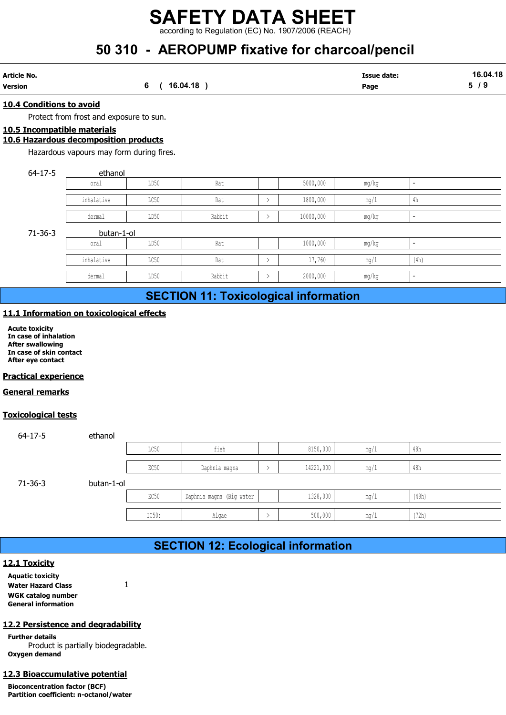### SAFETY DATA SHEET according to Regulation (EC) No. 1907/2006 (REACH)

## 50 310 - AEROPUMP fixative for charcoal/pencil

| Article No.    |          | Issue date: | .18<br>16.<br>n4. |
|----------------|----------|-------------|-------------------|
| <b>Version</b> | 16.04.18 | Page        |                   |
|                |          |             |                   |

### 10.4 Conditions to avoid

### 10.5 Incompatible materials

### 10.6 Hazardous decomposition products

| cle No.<br>sion              |                                                                                       |             |                                              |               | 50 310 - AEROPUMP fixative for charcoal/pencil |                            |                          |                 |
|------------------------------|---------------------------------------------------------------------------------------|-------------|----------------------------------------------|---------------|------------------------------------------------|----------------------------|--------------------------|-----------------|
|                              |                                                                                       | 6(16.04.18) |                                              |               |                                                | <b>Issue date:</b><br>Page |                          | 16.04.18<br>5/9 |
| <b>4 Conditions to avoid</b> |                                                                                       |             |                                              |               |                                                |                            |                          |                 |
|                              | Protect from frost and exposure to sun.<br>5 Incompatible materials                   |             |                                              |               |                                                |                            |                          |                 |
|                              | <b>6 Hazardous decomposition products</b><br>Hazardous vapours may form during fires. |             |                                              |               |                                                |                            |                          |                 |
| $64 - 17 - 5$                | ethanol                                                                               |             |                                              |               |                                                |                            |                          |                 |
|                              | oral                                                                                  | LD50        | Rat                                          |               | 5000,000                                       | mg/kg                      | $\overline{\phantom{a}}$ |                 |
|                              | inhalative                                                                            | LC50        | Rat                                          | $\,>\,$       | 1800,000                                       | mg/1                       | $4\mathrm{h}$            |                 |
|                              | dermal                                                                                | LD50        | Rabbit                                       | $\rightarrow$ | 10000,000                                      | mg/kg                      | $\sim$                   |                 |
| $71 - 36 - 3$                | butan-1-ol                                                                            |             |                                              |               |                                                |                            |                          |                 |
|                              | oral                                                                                  | LD50        | Rat                                          |               | 1000,000                                       | mg/kg                      | $\sim$                   |                 |
|                              | inhalative                                                                            | LC50        | Rat                                          | $\,>\,$       | 17,760                                         | mg/1                       | (4h)                     |                 |
|                              | dermal                                                                                | LD50        | Rabbit                                       | $\rightarrow$ | 2000,000                                       | mg/kg                      | L.                       |                 |
|                              |                                                                                       |             | <b>SECTION 11: Toxicological information</b> |               |                                                |                            |                          |                 |
|                              | 1 Information on toxicological effects                                                |             |                                              |               |                                                |                            |                          |                 |

| oral       | LD50         | Rat    | 1000,000 | mg/kg | -    |
|------------|--------------|--------|----------|-------|------|
| inhalative | TORA<br>コマンセ | Rat    | 17,760   | mq/L  | (4h) |
| dermal     | LD50         | Rabbit | 2000,000 | mq/kg |      |

### SECTION 11: Toxicological information

### 11.1 Information on toxicological effects

### Practical experience

### General remarks

### Toxicological tests

|                                                                                                                                    | inhalative                               | LC50  | Rat                                          | $\rightarrow$ | 17,760    | mg/1  | (4h)           |
|------------------------------------------------------------------------------------------------------------------------------------|------------------------------------------|-------|----------------------------------------------|---------------|-----------|-------|----------------|
|                                                                                                                                    | dermal                                   | LD50  | Rabbit                                       | $\,>\,$       | 2000,000  | mg/kg | $\omega$       |
|                                                                                                                                    |                                          |       | <b>SECTION 11: Toxicological information</b> |               |           |       |                |
|                                                                                                                                    | 1.1 Information on toxicological effects |       |                                              |               |           |       |                |
| Acute toxicity<br>In case of inhalation<br>After swallowing<br>In case of skin contact<br>After eye contact<br>ractical experience |                                          |       |                                              |               |           |       |                |
| <u>eneral remarks</u>                                                                                                              |                                          |       |                                              |               |           |       |                |
| <b>oxicological tests</b>                                                                                                          |                                          |       |                                              |               |           |       |                |
| $64 - 17 - 5$                                                                                                                      | ethanol                                  |       |                                              |               |           |       |                |
|                                                                                                                                    |                                          | LC50  | fish                                         |               | 8150,000  | mg/1  | $48\mathrm{h}$ |
|                                                                                                                                    |                                          | EC50  | Daphnia magna                                | $\,>\,$       | 14221,000 | mg/1  | $48\mathrm{h}$ |
| $71 - 36 - 3$                                                                                                                      | butan-1-ol                               |       |                                              |               |           |       |                |
|                                                                                                                                    |                                          | EC50  | Daphnia magna (Big water                     |               | 1328,000  | mg/1  | (48h)          |
|                                                                                                                                    |                                          | IC50: | Algae                                        | $\rightarrow$ | 500,000   | mg/1  | (72h)          |
|                                                                                                                                    |                                          |       |                                              |               |           |       |                |
|                                                                                                                                    |                                          |       | <b>SECTION 12: Ecological information</b>    |               |           |       |                |
| 2.1 Toxicity<br><b>Aquatic toxicity</b>                                                                                            |                                          |       |                                              |               |           |       |                |
| Water Hazard Class                                                                                                                 | $\mathbf{1}$                             |       |                                              |               |           |       |                |

### SECTION 12: Ecological information

### 12.1 Toxicity

Aquatic toxicity Water Hazard Class 1 WGK catalog number General information

### 12.2 Persistence and degradability

Further details Product is partially biodegradable. Oxygen demand

### 12.3 Bioaccumulative potential

Bioconcentration factor (BCF) Partition coefficient: n-octanol/water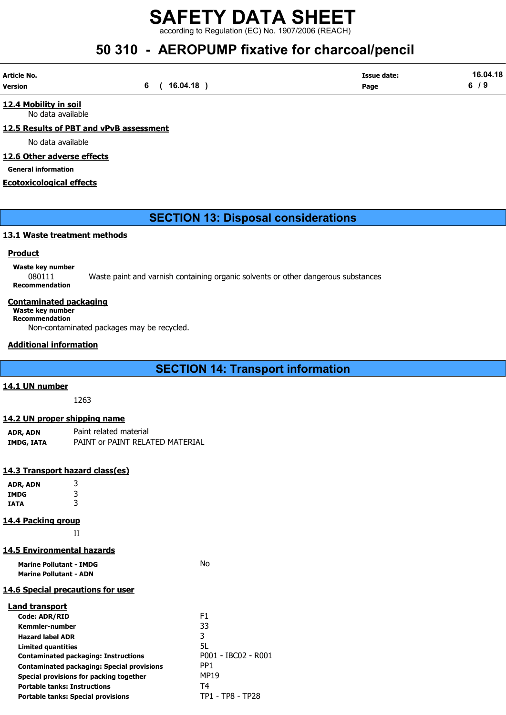according to Regulation (EC) No. 1907/2006 (REACH)

## 50 310 - AEROPUMP fixative for charcoal/pencil

| Article No. |              | <b>Issue date:</b> | 16.04.18 |
|-------------|--------------|--------------------|----------|
| Version     | 6 ( 16.04.18 | Page               | 6/9      |

12.4 Mobility in soil No data available

### 12.5 Results of PBT and vPvB assessment

No data available

### 12.6 Other adverse effects

General information

### Ecotoxicological effects

### SECTION 13: Disposal considerations

### 13.1 Waste treatment methods

### **Product**

Waste key number

080111 Waste paint and varnish containing organic solvents or other dangerous substances Recommendation

### Contaminated packaging

Waste key number Recommendation

Non-contaminated packages may be recycled.

### Additional information

SECTION 14: Transport information

### 14.1 UN number

1263

### 14.2 UN proper shipping name

ADR, ADN Paint related material IMDG, IATA PAINT or PAINT RELATED MATERIAL

### 14.3 Transport hazard class(es)

| ADR, ADN | 3 |
|----------|---|
| IMDG     | 3 |
| IATA     | 3 |

### 14.4 Packing group

II

### 14.5 Environmental hazards

Marine Pollutant - IMDG No Marine Pollutant - ADN

### 14.6 Special precautions for user

| Land transport                                    |                     |
|---------------------------------------------------|---------------------|
| <b>Code: ADR/RID</b>                              | F1                  |
| Kemmler-number                                    | 33                  |
| <b>Hazard label ADR</b>                           | 3                   |
| Limited quantities                                | 5L                  |
| <b>Contaminated packaging: Instructions</b>       | P001 - IBC02 - R001 |
| <b>Contaminated packaging: Special provisions</b> | PP <sub>1</sub>     |
| Special provisions for packing together           | <b>MP19</b>         |
| <b>Portable tanks: Instructions</b>               | Τ4                  |
| <b>Portable tanks: Special provisions</b>         | TP1 - TP8 - TP28    |
|                                                   |                     |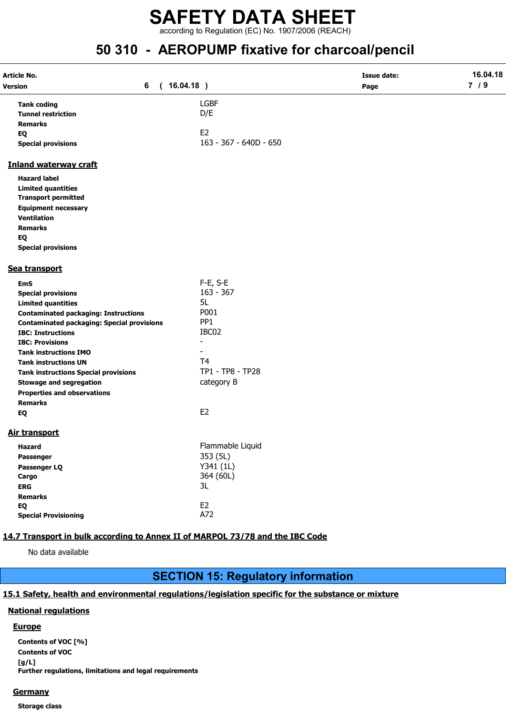### SAFETY DATA SHEET according to Regulation (EC) No. 1907/2006 (REACH)

## 50 310 - AEROPUMP fixative for charcoal/pencil

| Article No.<br>6<br>Version                                                   | (16.04.18)             | <b>Issue date:</b><br>Page | 16.04.18<br>7/9 |
|-------------------------------------------------------------------------------|------------------------|----------------------------|-----------------|
| <b>Tank coding</b>                                                            | <b>LGBF</b>            |                            |                 |
| <b>Tunnel restriction</b>                                                     | D/E                    |                            |                 |
| <b>Remarks</b>                                                                |                        |                            |                 |
| EQ                                                                            | E <sub>2</sub>         |                            |                 |
| <b>Special provisions</b>                                                     | 163 - 367 - 640D - 650 |                            |                 |
| <b>Inland waterway craft</b>                                                  |                        |                            |                 |
| <b>Hazard label</b>                                                           |                        |                            |                 |
| <b>Limited quantities</b>                                                     |                        |                            |                 |
| <b>Transport permitted</b>                                                    |                        |                            |                 |
| <b>Equipment necessary</b>                                                    |                        |                            |                 |
| <b>Ventilation</b>                                                            |                        |                            |                 |
| <b>Remarks</b>                                                                |                        |                            |                 |
| EQ                                                                            |                        |                            |                 |
| <b>Special provisions</b>                                                     |                        |                            |                 |
| Sea transport                                                                 |                        |                            |                 |
| <b>EmS</b>                                                                    | $F-E$ , $S-E$          |                            |                 |
| <b>Special provisions</b>                                                     | $163 - 367$            |                            |                 |
| <b>Limited quantities</b>                                                     | 5L                     |                            |                 |
| <b>Contaminated packaging: Instructions</b>                                   | P001                   |                            |                 |
| <b>Contaminated packaging: Special provisions</b>                             | PP <sub>1</sub>        |                            |                 |
| <b>IBC: Instructions</b>                                                      | IBC02                  |                            |                 |
| <b>IBC: Provisions</b>                                                        | $\blacksquare$         |                            |                 |
| <b>Tank instructions IMO</b>                                                  |                        |                            |                 |
| <b>Tank instructions UN</b>                                                   | T <sub>4</sub>         |                            |                 |
| <b>Tank instructions Special provisions</b>                                   | TP1 - TP8 - TP28       |                            |                 |
| <b>Stowage and segregation</b>                                                | category B             |                            |                 |
| <b>Properties and observations</b>                                            |                        |                            |                 |
| <b>Remarks</b>                                                                |                        |                            |                 |
| EQ                                                                            | E <sub>2</sub>         |                            |                 |
| Air transport                                                                 |                        |                            |                 |
| <b>Hazard</b>                                                                 | Flammable Liquid       |                            |                 |
| Passenger                                                                     | 353 (5L)               |                            |                 |
| Passenger LQ                                                                  | Y341 (1L)              |                            |                 |
| Cargo                                                                         | 364 (60L)              |                            |                 |
| <b>ERG</b>                                                                    | 3L                     |                            |                 |
| <b>Remarks</b>                                                                |                        |                            |                 |
| EQ                                                                            | E <sub>2</sub>         |                            |                 |
| <b>Special Provisioning</b>                                                   | A72                    |                            |                 |
| 14.7 Transport in bulk according to Annex II of MARPOL 73/78 and the IBC Code |                        |                            |                 |
| No data available                                                             |                        |                            |                 |
|                                                                               |                        |                            |                 |

### SECTION 15: Regulatory information

### 15.1 Safety, health and environmental regulations/legislation specific for the substance or mixture

### National regulations

### **Europe**

Contents of VOC [%] Contents of VOC [g/L] Further regulations, limitations and legal requirements

### **Germany**

Storage class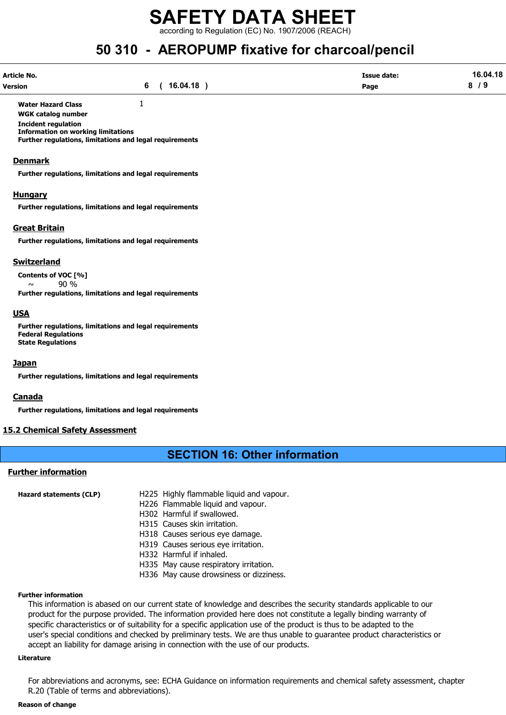according to Regulation (EC) No. 1907/2006 (REACH)

## 50 310 - AEROPUMP fixative for charcoal/pencil

| Article No.    |          | <b>Issue date:</b> | 16.04.18 |
|----------------|----------|--------------------|----------|
| <b>Version</b> | 16.04.18 | Page               | . .      |

Water Hazard Class 1

WGK catalog number Incident regulation

Information on working limitations

Further regulations, limitations and legal requirements

#### **Denmark**

Further regulations, limitations and legal requirements

#### **Hungary**

Further regulations, limitations and legal requirements

### Great Britain

Further regulations, limitations and legal requirements

### **Switzerland**

Contents of VOC [%]  $\sim$  90 % Further regulations, limitations and legal requirements

### **USA**

Further regulations, limitations and legal requirements Federal Regulations State Regulations

#### Japan

Further regulations, limitations and legal requirements

### Canada

Further regulations, limitations and legal requirements

### 15.2 Chemical Safety Assessment

### SECTION 16: Other information

### Further information

| Hazard statements (CLP) | H225 Highly flammable liquid and vapour. |
|-------------------------|------------------------------------------|
|                         | $\blacksquare$                           |

- H226 Flammable liquid and vapour.
- H302 Harmful if swallowed. H315 Causes skin irritation.
- H318 Causes serious eye damage.
- H319 Causes serious eye irritation.
- H332 Harmful if inhaled.
- H335 May cause respiratory irritation.
- H336 May cause drowsiness or dizziness.

#### Further information

This information is abased on our current state of knowledge and describes the security standards applicable to our product for the purpose provided. The information provided here does not constitute a legally binding warranty of specific characteristics or of suitability for a specific application use of the product is thus to be adapted to the user's special conditions and checked by preliminary tests. We are thus unable to guarantee product characteristics or accept an liability for damage arising in connection with the use of our products.

#### Literature

For abbreviations and acronyms, see: ECHA Guidance on information requirements and chemical safety assessment, chapter R.20 (Table of terms and abbreviations).

#### Reason of change